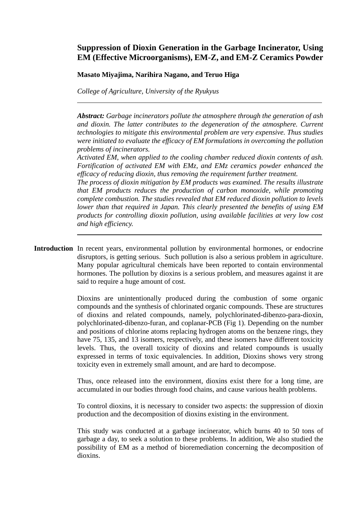# **Suppression of Dioxin Generation in the Garbage Incinerator, Using EM (Effective Microorganisms), EM-Z, and EM-Z Ceramics Powder**

## **Masato Miyajima, Narihira Nagano, and Teruo Higa**

*College of Agriculture, University of the Ryukyus* 

*Abstract: Garbage incinerators pollute the atmosphere through the generation of ash and dioxin. The latter contributes to the degeneration of the atmosphere. Current technologies to mitigate this environmental problem are very expensive. Thus studies were initiated to evaluate the efficacy of EM formulations in overcoming the pollution problems of incinerators.* 

*Activated EM, when applied to the cooling chamber reduced dioxin contents of ash. Fortification of activated EM with EMz, and EMz ceramics powder enhanced the efficacy of reducing dioxin, thus removing the requirement further treatment.* 

*The process of dioxin mitigation by EM products was examined. The results illustrate that EM products reduces the production of carbon monoxide, while promoting complete combustion. The studies revealed that EM reduced dioxin pollution to levels lower than that required in Japan. This clearly presented the benefits of using EM products for controlling dioxin pollution, using available facilities at very low cost and high efficiency.*

**Introduction** In recent years, environmental pollution by environmental hormones, or endocrine disruptors, is getting serious. Such pollution is also a serious problem in agriculture. Many popular agricultural chemicals have been reported to contain environmental hormones. The pollution by dioxins is a serious problem, and measures against it are said to require a huge amount of cost.

> Dioxins are unintentionally produced during the combustion of some organic compounds and the synthesis of chlorinated organic compounds. These are structures of dioxins and related compounds, namely, polychlorinated-dibenzo-para-dioxin, polychlorinated-dibenzo-furan, and coplanar-PCB (Fig 1). Depending on the number and positions of chlorine atoms replacing hydrogen atoms on the benzene rings, they have 75, 135, and 13 isomers, respectively, and these isomers have different toxicity levels. Thus, the overall toxicity of dioxins and related compounds is usually expressed in terms of toxic equivalencies. In addition, Dioxins shows very strong toxicity even in extremely small amount, and are hard to decompose.

> Thus, once released into the environment, dioxins exist there for a long time, are accumulated in our bodies through food chains, and cause various health problems.

> To control dioxins, it is necessary to consider two aspects: the suppression of dioxin production and the decomposition of dioxins existing in the environment.

> This study was conducted at a garbage incinerator, which burns 40 to 50 tons of garbage a day, to seek a solution to these problems. In addition, We also studied the possibility of EM as a method of bioremediation concerning the decomposition of dioxins.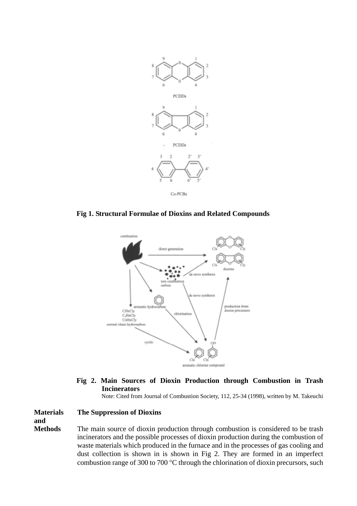

**Fig 1. Structural Formulae of Dioxins and Related Compounds** 



**Fig 2. Main Sources of Dioxin Production through Combustion in Trash Incinerators** 

Note: Cited from Journal of Combustion Society, 112, 25-34 (1998), written by M. Takeuchi

## **Materials The Suppression of Dioxins**

**and** 

**Methods** The main source of dioxin production through combustion is considered to be trash incinerators and the possible processes of dioxin production during the combustion of waste materials which produced in the furnace and in the processes of gas cooling and dust collection is shown in is shown in Fig 2. They are formed in an imperfect combustion range of 300 to 700 °C through the chlorination of dioxin precursors, such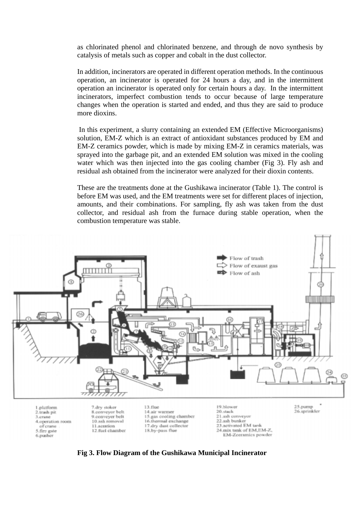as chlorinated phenol and chlorinated benzene, and through de novo synthesis by catalysis of metals such as copper and cobalt in the dust collector.

In addition, incinerators are operated in different operation methods. In the continuous operation, an incinerator is operated for 24 hours a day, and in the intermittent operation an incinerator is operated only for certain hours a day. In the intermittent incinerators, imperfect combustion tends to occur because of large temperature changes when the operation is started and ended, and thus they are said to produce more dioxins.

In this experiment, a slurry containing an extended EM (Effective Microorganisms) solution, EM-Z which is an extract of antioxidant substances produced by EM and EM-Z ceramics powder, which is made by mixing EM-Z in ceramics materials, was sprayed into the garbage pit, and an extended EM solution was mixed in the cooling water which was then injected into the gas cooling chamber (Fig 3). Fly ash and residual ash obtained from the incinerator were analyzed for their dioxin contents.

These are the treatments done at the Gushikawa incinerator (Table 1). The control is before EM was used, and the EM treatments were set for different places of injection, amounts, and their combinations. For sampling, fly ash was taken from the dust collector, and residual ash from the furnace during stable operation, when the combustion temperature was stable.



**Fig 3. Flow Diagram of the Gushikawa Municipal Incinerator**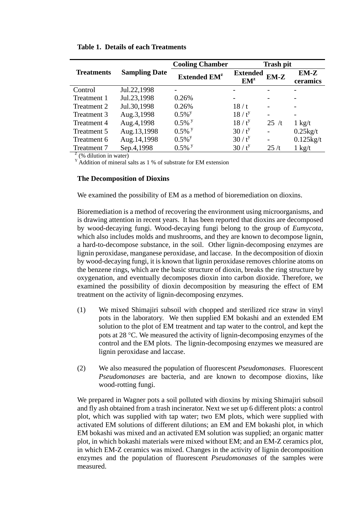|                   |                      | <b>Cooling Chamber</b>         | <b>Trash pit</b>                   |        |                    |
|-------------------|----------------------|--------------------------------|------------------------------------|--------|--------------------|
| <b>Treatments</b> | <b>Sampling Date</b> | <b>Extended EM<sup>z</sup></b> | <b>Extended</b><br>EM <sup>z</sup> | $EM-Z$ | $EM-Z$<br>ceramics |
| Control           | Jul.22,1998          |                                |                                    |        |                    |
| Treatment 1       | Jul.23,1998          | 0.26%                          |                                    |        |                    |
| Treatment 2       | Jul.30,1998          | 0.26%                          | 18/t                               |        |                    |
| Treatment 3       | Aug.3,1998           | $0.5\%$ <sup>y</sup>           | 18/t <sup>y</sup>                  |        |                    |
| Treatment 4       | Aug.4,1998           | $0.5\%$ <sup>y</sup>           | $18/t^y$                           | 25/t   | $1 \text{ kg}/t$   |
| Treatment 5       | Aug.13,1998          | $0.5\%$ <sup>y</sup>           | $30/t^{y}$                         |        | $0.25$ kg/t        |
| Treatment 6       | Aug.14,1998          | $0.5\%$ <sup>y</sup>           | $30/t^{y}$                         |        | $0.125$ kg/t       |
| Treatment 7       | Sep.4,1998           | $0.5\%$ y                      | $30/t^{y}$                         | 25/t   | $1 \text{ kg}/t$   |
| Z(0/1.1)          |                      |                                |                                    |        |                    |

**Table 1. Details of each Treatments** 

 $z$  (% dilution in water)

 $Y$  Addition of mineral salts as 1 % of substrate for EM extension

#### **The Decomposition of Dioxins**

We examined the possibility of EM as a method of bioremediation on dioxins.

Bioremediation is a method of recovering the environment using microorganisms, and is drawing attention in recent years. It has been reported that dioxins are decomposed by wood-decaying fungi. Wood-decaying fungi belong to the group of *Eumycota*, which also includes molds and mushrooms, and they are known to decompose lignin, a hard-to-decompose substance, in the soil. Other lignin-decomposing enzymes are lignin peroxidase, manganese peroxidase, and laccase. In the decomposition of dioxin by wood-decaying fungi, it is known that lignin peroxidase removes chlorine atoms on the benzene rings, which are the basic structure of dioxin, breaks the ring structure by oxygenation, and eventually decomposes dioxin into carbon dioxide. Therefore, we examined the possibility of dioxin decomposition by measuring the effect of EM treatment on the activity of lignin-decomposing enzymes.

- (1) We mixed Shimajiri subsoil with chopped and sterilized rice straw in vinyl pots in the laboratory. We then supplied EM bokashi and an extended EM solution to the plot of EM treatment and tap water to the control, and kept the pots at 28 °C. We measured the activity of lignin-decomposing enzymes of the control and the EM plots. The lignin-decomposing enzymes we measured are lignin peroxidase and laccase.
- (2) We also measured the population of fluorescent *Pseudomonases*. Fluorescent *Pseudomonases* are bacteria, and are known to decompose dioxins, like wood-rotting fungi.

We prepared in Wagner pots a soil polluted with dioxins by mixing Shimajiri subsoil and fly ash obtained from a trash incinerator. Next we set up 6 different plots: a control plot, which was supplied with tap water; two EM plots, which were supplied with activated EM solutions of different dilutions; an EM and EM bokashi plot, in which EM bokashi was mixed and an activated EM solution was supplied; an organic matter plot, in which bokashi materials were mixed without EM; and an EM-Z ceramics plot, in which EM-Z ceramics was mixed. Changes in the activity of lignin decomposition enzymes and the population of fluorescent *Pseudomonases* of the samples were measured.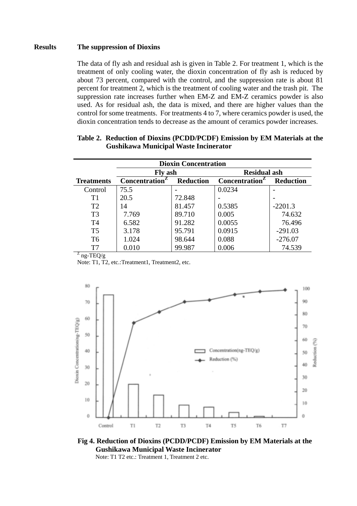## **Results The suppression of Dioxins**

The data of fly ash and residual ash is given in Table 2. For treatment 1, which is the treatment of only cooling water, the dioxin concentration of fly ash is reduced by about 73 percent, compared with the control, and the suppression rate is about 81 percent for treatment 2, which is the treatment of cooling water and the trash pit. The suppression rate increases further when EM-Z and EM-Z ceramics powder is also used. As for residual ash, the data is mixed, and there are higher values than the control for some treatments. For treatments 4 to 7, where ceramics powder is used, the dioxin concentration tends to decrease as the amount of ceramics powder increases.

| <b>Dioxin Concentration</b>   |                      |                  |                            |                  |  |
|-------------------------------|----------------------|------------------|----------------------------|------------------|--|
|                               | <b>Fly ash</b>       |                  | <b>Residual ash</b>        |                  |  |
| <b>Treatments</b>             | <b>Concentration</b> | <b>Reduction</b> | Concentration <sup>2</sup> | <b>Reduction</b> |  |
| Control                       | 75.5                 |                  | 0.0234                     |                  |  |
| T1                            | 20.5                 | 72.848           |                            |                  |  |
| T <sub>2</sub>                | 14                   | 81.457           | 0.5385                     | $-2201.3$        |  |
| T <sub>3</sub>                | 7.769                | 89.710           | 0.005                      | 74.632           |  |
| T4                            | 6.582                | 91.282           | 0.0055                     | 76.496           |  |
| T <sub>5</sub>                | 3.178                | 95.791           | 0.0915                     | $-291.03$        |  |
| T <sub>6</sub>                | 1.024                | 98.644           | 0.088                      | $-276.07$        |  |
| T7                            | 0.010                | 99.987           | 0.006                      | 74.539           |  |
| $Z_{\text{no}}$ TEO/ $\alpha$ |                      |                  |                            |                  |  |

## **Table 2. Reduction of Dioxins (PCDD/PCDF) Emission by EM Materials at the Gushikawa Municipal Waste Incinerator**

ng-TEQ/g

Note: T1, T2, etc.:Treatment1, Treatment2, etc.



**Fig 4. Reduction of Dioxins (PCDD/PCDF) Emission by EM Materials at the Gushikawa Municipal Waste Incinerator**  Note: T1 T2 etc.: Treatment 1, Treatment 2 etc.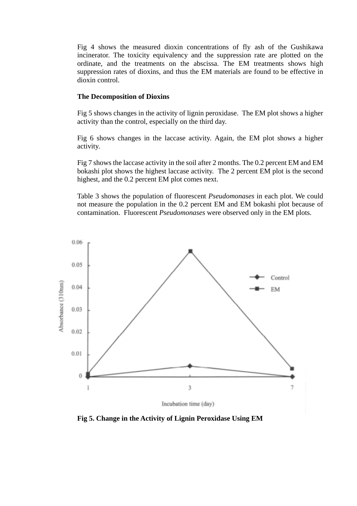Fig 4 shows the measured dioxin concentrations of fly ash of the Gushikawa incinerator. The toxicity equivalency and the suppression rate are plotted on the ordinate, and the treatments on the abscissa. The EM treatments shows high suppression rates of dioxins, and thus the EM materials are found to be effective in dioxin control.

#### **The Decomposition of Dioxins**

Fig 5 shows changes in the activity of lignin peroxidase. The EM plot shows a higher activity than the control, especially on the third day.

Fig 6 shows changes in the laccase activity. Again, the EM plot shows a higher activity.

Fig 7 shows the laccase activity in the soil after 2 months. The 0.2 percent EM and EM bokashi plot shows the highest laccase activity. The 2 percent EM plot is the second highest, and the 0.2 percent EM plot comes next.

Table 3 shows the population of fluorescent *Pseudomonases* in each plot. We could not measure the population in the 0.2 percent EM and EM bokashi plot because of contamination. Fluorescent *Pseudomonases* were observed only in the EM plots.



**Fig 5. Change in the Activity of Lignin Peroxidase Using EM**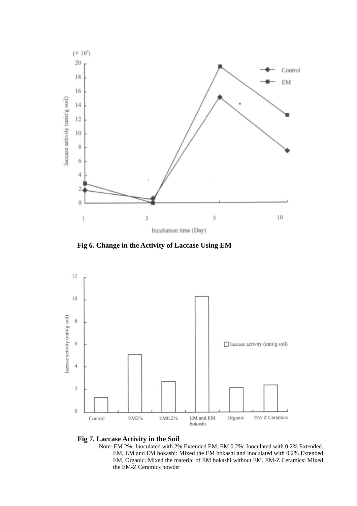

**Fig 6. Change in the Activity of Laccase Using EM** 





Note: EM 2%: Inoculated with 2% Extended EM, EM 0.2%: Inoculated with 0.2% Extended EM, EM and EM bokashi: Mixed the EM bokashi and inoculated with 0.2% Extended EM, Organic: Mixed the material of EM bokashi without EM, EM-Z Ceramics: Mixed the EM-Z Ceramics powder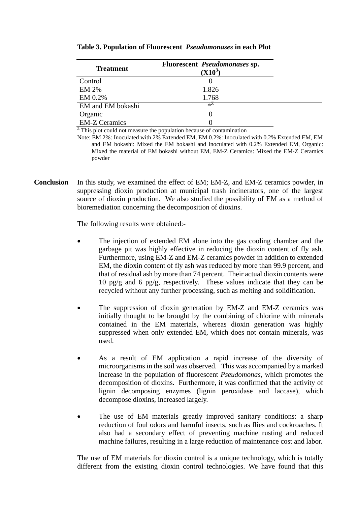| <b>Treatment</b>     | Fluorescent <i>Pseudomonases</i> sp.<br>$(X10^3)$ |
|----------------------|---------------------------------------------------|
| Control              |                                                   |
| <b>EM 2%</b>         | 1.826                                             |
| EM 0.2%              | 1.768                                             |
| EM and EM bokashi    | жZ                                                |
| Organic              |                                                   |
| <b>EM-Z Ceramics</b> |                                                   |

#### **Table 3. Population of Fluorescent** *Pseudomonases* **in each Plot**

 $Z$  This plot could not measure the population because of contamination

Note: EM 2%: Inoculated with 2% Extended EM, EM 0.2%: Inoculated with 0.2% Extended EM, EM and EM bokashi: Mixed the EM bokashi and inoculated with 0.2% Extended EM, Organic: Mixed the material of EM bokashi without EM, EM-Z Ceramics: Mixed the EM-Z Ceramics powder

**Conclusion** In this study, we examined the effect of EM; EM-Z, and EM-Z ceramics powder, in suppressing dioxin production at municipal trash incinerators, one of the largest source of dioxin production. We also studied the possibility of EM as a method of bioremediation concerning the decomposition of dioxins.

The following results were obtained:-

- The injection of extended EM alone into the gas cooling chamber and the garbage pit was highly effective in reducing the dioxin content of fly ash. Furthermore, using EM-Z and EM-Z ceramics powder in addition to extended EM, the dioxin content of fly ash was reduced by more than 99.9 percent, and that of residual ash by more than 74 percent. Their actual dioxin contents were 10 pg/g and 6 pg/g, respectively. These values indicate that they can be recycled without any further processing, such as melting and solidification.
- The suppression of dioxin generation by EM-Z and EM-Z ceramics was initially thought to be brought by the combining of chlorine with minerals contained in the EM materials, whereas dioxin generation was highly suppressed when only extended EM, which does not contain minerals, was used.
- As a result of EM application a rapid increase of the diversity of microorganisms in the soil was observed. This was accompanied by a marked increase in the population of fluorescent *Pseudomonas*, which promotes the decomposition of dioxins. Furthermore, it was confirmed that the activity of lignin decomposing enzymes (lignin peroxidase and laccase), which decompose dioxins, increased largely.
- The use of EM materials greatly improved sanitary conditions: a sharp reduction of foul odors and harmful insects, such as flies and cockroaches. It also had a secondary effect of preventing machine rusting and reduced machine failures, resulting in a large reduction of maintenance cost and labor.

The use of EM materials for dioxin control is a unique technology, which is totally different from the existing dioxin control technologies. We have found that this